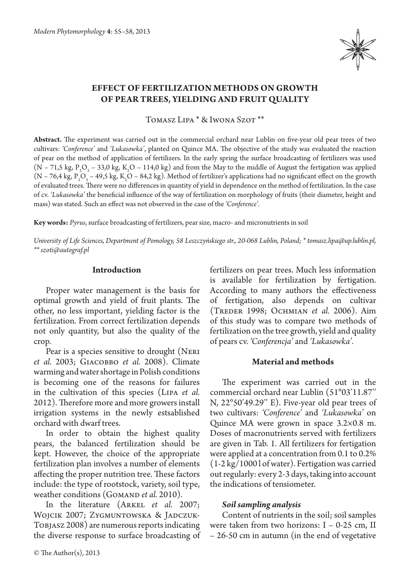

# **Effect of fertilization methods on growth of pear trees, yielding and fruit quality**

Tomasz Lipa \* & Iwona Szot \*\*

**Abstract.** The experiment was carried out in the commercial orchard near Lublin on five-year old pear trees of two cultivars: *'Conference'* and *'Lukasowka'*, planted on Quince MA. The objective of the study was evaluated the reaction of pear on the method of application of fertilizers. In the early spring the surface broadcasting of fertilizers was used (N – 71,5 kg,  $P_2O_5$  – 33,0 kg, K<sub>2</sub>O – 114,0 kg) and from the May to the middle of August the fertigation was applied (N – 76,4 kg, P<sub>2</sub>O<sub>5</sub> – 49,5 kg, K<sub>2</sub>O – 84,2 kg). Method of fertilizer's applications had no significant effect on the growth of evaluated trees. There were no differences in quantity of yield in dependence on the method of fertilization. In the case of cv. *'Lukasowka'* the beneficial influence of the way of fertilization on morphology of fruits (their diameter, height and mass) was stated. Such an effect was not observed in the case of the *'Conference'.*

**Key words:** *Pyrus*, surface broadcasting of fertilizers, pear size, macro- and micronutrients in soil

*University of Life Sciences, Department of Pomology, 58 Leszczyńskiego str., 20-068 Lublin, Poland; \* tomasz.lipa@up.lublin.pl, \*\* szoti@autograf.pl*

# **Introduction**

Proper water management is the basis for optimal growth and yield of fruit plants. The other, no less important, yielding factor is the fertilization. From correct fertilization depends not only quantity, but also the quality of the crop.

Pear is a species sensitive to drought (Neri *et al.* 2003; Giacobbo *et al.* 2008). Climate warming and water shortage in Polish conditions is becoming one of the reasons for failures in the cultivation of this species (Lipa *et al.*  2012). Therefore more and more growers install irrigation systems in the newly estsablished orchard with dwarf trees.

In order to obtain the highest quality pears, the balanced fertilization should be kept. However, the choice of the appropriate fertilization plan involves a number of elements affecting the proper nutrition tree. These factors include: the type of rootstock, variety, soil type, weather conditions (GOMAND *et al.* 2010).

In the literature (ARKEL *et al.* 2007; WOJCIK 2007; ZYGMUNTOWSKA & JADCZUK-Tobjasz 2008) are numerous reports indicating the diverse response to surface broadcasting of

fertilizers on pear trees. Much less information is available for fertilization by fertigation. According to many authors the effectiveness of fertigation, also depends on cultivar (Treder 1998; Ochmian *et al.* 2006). Aim of this study was to compare two methods of fertilization on the tree growth, yield and quality of pears cv. *'Conferencja'* and *'Lukasowka'.*

## **Material and methods**

The experiment was carried out in the commercial orchard near Lublin (51°03'11.87'' N, 22°50'49.29'' E). Five-year old pear trees of two cultivars: *'Conference'* and *'Lukasowka'* on Quince MA were grown in space 3.2×0.8 m. Doses of macronutrients served with fertilizers are given in Tab. 1. All fertilizers for fertigation were applied at a concentration from 0.1 to 0.2% (1-2 kg/1000 l of water). Fertigation was carried out regularly: every 2-3 days, taking into account the indications of tensiometer.

## *Soil sampling analysis*

Content of nutrients in the soil; soil samples were taken from two horizons: I – 0-25 cm, II – 26-50 cm in autumn (in the end of vegetative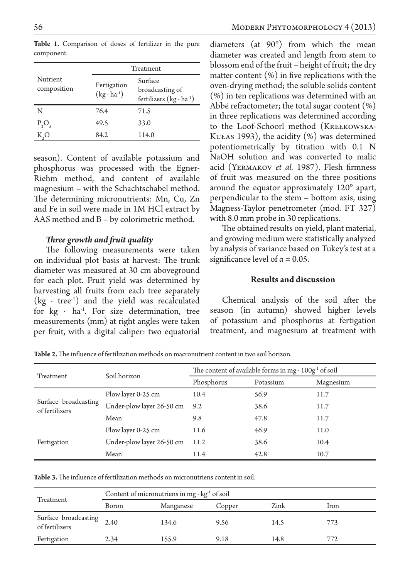|                         | Treatment                           |                                                                |  |
|-------------------------|-------------------------------------|----------------------------------------------------------------|--|
| Nutrient<br>composition | Fertigation<br>$(kg \cdot ha^{-1})$ | Surface<br>broadcasting of<br>fertilizers $(kg \cdot ha^{-1})$ |  |
| N                       | 76.4                                | 71.5                                                           |  |
| $P_2O_5$                | 49.5                                | 33.0                                                           |  |
|                         | 84.2                                | 114.0                                                          |  |

Table 1. Comparison of doses of fertilizer in the pure component.

season). Content of available potassium and phosphorus was processed with the Egner-Riehm method, and content of available magnesium – with the Schachtschabel method. The determining micronutrients: Mn, Cu, Zn and Fe in soil were made in 1M HCl extract by AAS method and B – by colorimetric method.

#### *Three growth and fruit quality*

The following measurements were taken on individual plot basis at harvest: The trunk diameter was measured at 30 cm aboveground for each plot. Fruit yield was determined by harvesting all fruits from each tree separately  $(kg \cdot tree^{-1})$  and the yield was recalculated for  $kg \cdot ha^{1}$ . For size determination, tree measurements (mm) at right angles were taken per fruit, with a digital caliper: two equatorial

diameters (at 90°) from which the mean diameter was created and length from stem to blossom end of the fruit – height of fruit; the dry matter content (%) in five replications with the oven-drying method; the soluble solids content (%) in ten replications was determined with an Abbé refractometer; the total sugar content  $(\%)$ in three replications was determined according to the Loof-Schoorl method (KREŁKOWSKA-KUŁAS 1993), the acidity  $(\%)$  was determined potentiometrically by titration with 0.1 N NaOH solution and was converted to malic acid (Yermakov *et al.* 1987). Flesh firmness of fruit was measured on the three positions around the equator approximately 120° apart, perpendicular to the stem – bottom axis, using Magness-Taylor penetrometer (mod. FT 327) with 8.0 mm probe in 30 replications.

The obtained results on yield, plant material, and growing medium were statistically analyzed by analysis of variance based on Tukey's test at a significance level of  $\alpha = 0.05$ .

#### **Results and discussion**

Chemical analysis of the soil after the season (in autumn) showed higher levels of potassium and phosphorus at fertigation treatment, and magnesium at treatment with

**Table 2.** The influence of fertilization methods on macronutrient content in two soil horizon.

| <b>Treatment</b>                       | Soil horizon              | The content of available forms in mg $\cdot$ 100g <sup>-1</sup> of soil |           |           |  |
|----------------------------------------|---------------------------|-------------------------------------------------------------------------|-----------|-----------|--|
|                                        |                           | Phosphorus                                                              | Potassium | Magnesium |  |
| Surface broadcasting<br>of fertilizers | Plow layer 0-25 cm        | 10.4                                                                    | 56.9      | 11.7      |  |
|                                        | Under-plow layer 26-50 cm | 9.2                                                                     | 38.6      | 11.7      |  |
|                                        | Mean                      | 9.8                                                                     | 47.8      | 11.7      |  |
| Fertigation                            | Plow layer 0-25 cm        | 11.6                                                                    | 46.9      | 11.0      |  |
|                                        | Under-plow layer 26-50 cm | 11.2                                                                    | 38.6      | 10.4      |  |
|                                        | Mean                      | 11.4                                                                    | 42.8      | 10.7      |  |

**Table 3.** The influence of fertilization methods on micronutriens content in soil.

| Treatment                              | Content of micronutriens in mg $\cdot$ kg <sup>-1</sup> of soil |           |        |      |      |  |
|----------------------------------------|-----------------------------------------------------------------|-----------|--------|------|------|--|
|                                        | Boron                                                           | Manganese | Copper | Zink | Iron |  |
| Surface broadcasting<br>of fertilizers | 2.40                                                            | 134.6     | 9.56   | 14.5 | 773  |  |
| Fertigation                            | 2.34                                                            | 155.9     | 9.18   | 14.8 | 772  |  |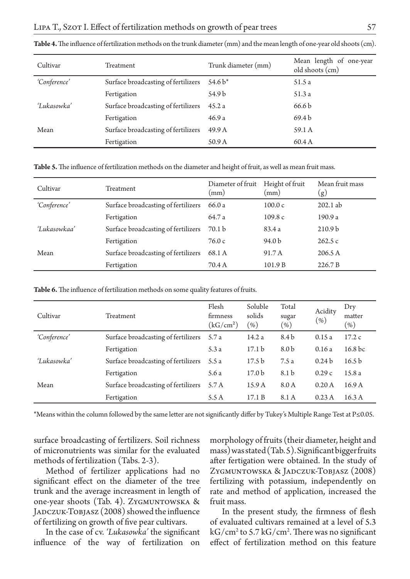| Cultivar     | Treatment                           | Trunk diameter (mm) | Mean length of one-year<br>old shoots (cm) |
|--------------|-------------------------------------|---------------------|--------------------------------------------|
| 'Conference' | Surface broadcasting of fertilizers | 54.6 $b^*$          | 51.5 a                                     |
|              | Fertigation                         | 54.9 b              | 51.3 a                                     |
| 'Lukasowka'  | Surface broadcasting of fertilizers | 45.2 a              | 66.6 b                                     |
|              | Fertigation                         | 46.9 a              | 69.4 b                                     |
| Mean         | Surface broadcasting of fertilizers | 49.9 A              | 59.1 A                                     |
|              | Fertigation                         | 50.9 A              | 60.4 A                                     |

**Table 4.** The influence of fertilization methods on the trunk diameter (mm) and the mean length of one-year old shoots (cm).

**Table 5.** The influence of fertilization methods on the diameter and height of fruit, as well as mean fruit mass.

| Cultivar     | Treatment                           | Diameter of fruit<br>(mm) | Height of fruit<br>(mm) | Mean fruit mass<br>(g) |
|--------------|-------------------------------------|---------------------------|-------------------------|------------------------|
| 'Conference' | Surface broadcasting of fertilizers | 66.0 a                    | 100.0c                  | $202.1$ ab             |
|              | Fertigation                         | 64.7 a                    | 109.8c                  | 190.9 a                |
| 'Lukasowkaa' | Surface broadcasting of fertilizers | 70.1 b                    | 83.4 a                  | 210.9 <sub>b</sub>     |
|              | Fertigation                         | 76.0c                     | 94.0 b                  | 262.5c                 |
| Mean         | Surface broadcasting of fertilizers | 68.1 A                    | 91.7 A                  | 206.5 A                |
|              | Fertigation                         | 70.4 A                    | 101.9B                  | 226.7 B                |

**Table 6.** The influence of fertilization methods on some quality features of fruits.

| Cultivar     | Treatment                           | Flesh<br>firmness<br>(kG/cm <sup>2</sup> ) | Soluble<br>solids<br>$(\% )$ | Total<br>sugar<br>$(\% )$ | Acidity<br>$(\% )$ | Dry<br>matter<br>$\left( \% \right)$ |
|--------------|-------------------------------------|--------------------------------------------|------------------------------|---------------------------|--------------------|--------------------------------------|
| 'Conference' | Surface broadcasting of fertilizers | 5.7 a                                      | 14.2 a                       | 8.4 b                     | 0.15a              | 17.2c                                |
|              | Fertigation                         | 5.3 a                                      | 17.1 <sub>b</sub>            | 8.0 <sub>b</sub>          | 0.16a              | 16.8 <sub>bc</sub>                   |
| 'Lukasowka'  | Surface broadcasting of fertilizers | 5.5 a                                      | 17.5 <sub>b</sub>            | 7.5a                      | 0.24 <sub>b</sub>  | 16.5 <sub>b</sub>                    |
|              | Fertigation                         | 5.6 a                                      | 17.0 <sub>b</sub>            | 8.1 b                     | 0.29c              | 15.8a                                |
| Mean         | Surface broadcasting of fertilizers | 5.7 A                                      | 15.9 <sub>A</sub>            | 8.0A                      | 0.20A              | 16.9 <sub>A</sub>                    |
|              | Fertigation                         | 5.5 A                                      | 17.1 B                       | 8.1 A                     | 0.23A              | 16.3A                                |

\*Means within the column followed by the same letter are not significantly differ by Tukey's Multiple Range Test at P≤0.05.

surface broadcasting of fertilizers. Soil richness of micronutrients was similar for the evaluated methods of fertilization (Tabs. 2-3).

Method of fertilizer applications had no significant effect on the diameter of the tree trunk and the average increasment in length of one-year shoots (Tab. 4). Zygmuntowska & JADCZUK-TOBJASZ (2008) showed the influence of fertilizing on growth of five pear cultivars.

In the case of cv. *'Lukasowka'* the significant influence of the way of fertilization on

morphology of fruits (their diameter, height and mass) was stated (Tab. 5). Significant bigger fruits after fertigation were obtained. In the study of Zygmuntowska & Jadczuk-Tobjasz (2008) fertilizing with potassium, independently on rate and method of application, increased the fruit mass.

In the present study, the firmness of flesh of evaluated cultivars remained at a level of 5.3 kG/cm2 to 5.7 kG/cm2 . There was no significant effect of fertilization method on this feature